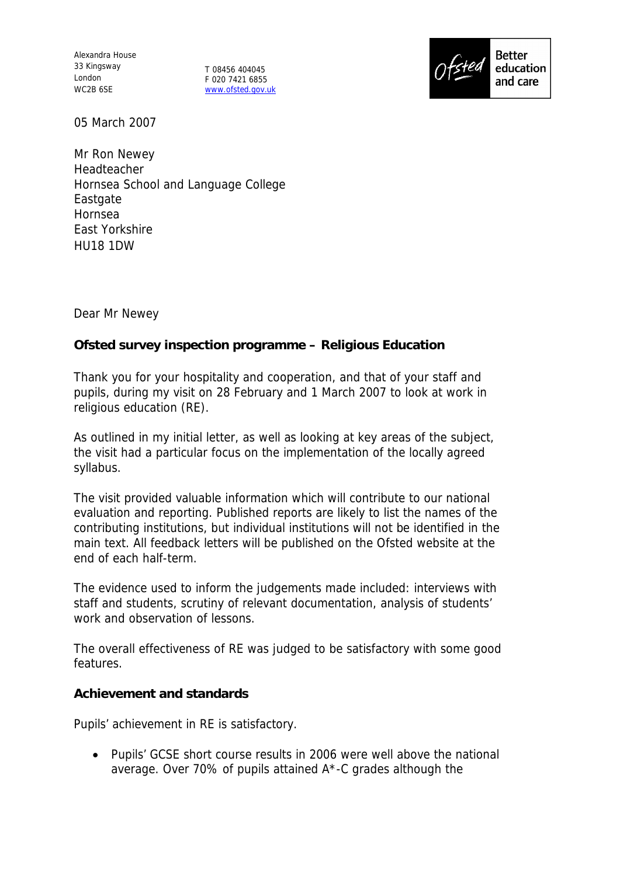Alexandra House 33 Kingsway London WC2B 6SE

T 08456 404045 F 020 7421 6855 www.ofsted.gov.uk



05 March 2007

Mr Ron Newey Headteacher Hornsea School and Language College **Eastgate** Hornsea East Yorkshire HU18 1DW

Dear Mr Newey

**Ofsted survey inspection programme – Religious Education**

Thank you for your hospitality and cooperation, and that of your staff and pupils, during my visit on 28 February and 1 March 2007 to look at work in religious education (RE).

As outlined in my initial letter, as well as looking at key areas of the subject, the visit had a particular focus on the implementation of the locally agreed syllabus.

The visit provided valuable information which will contribute to our national evaluation and reporting. Published reports are likely to list the names of the contributing institutions, but individual institutions will not be identified in the main text. All feedback letters will be published on the Ofsted website at the end of each half-term.

The evidence used to inform the judgements made included: interviews with staff and students, scrutiny of relevant documentation, analysis of students' work and observation of lessons.

The overall effectiveness of RE was judged to be satisfactory with some good features.

**Achievement and standards**

Pupils' achievement in RE is satisfactory.

 Pupils' GCSE short course results in 2006 were well above the national average. Over 70% of pupils attained A\*-C grades although the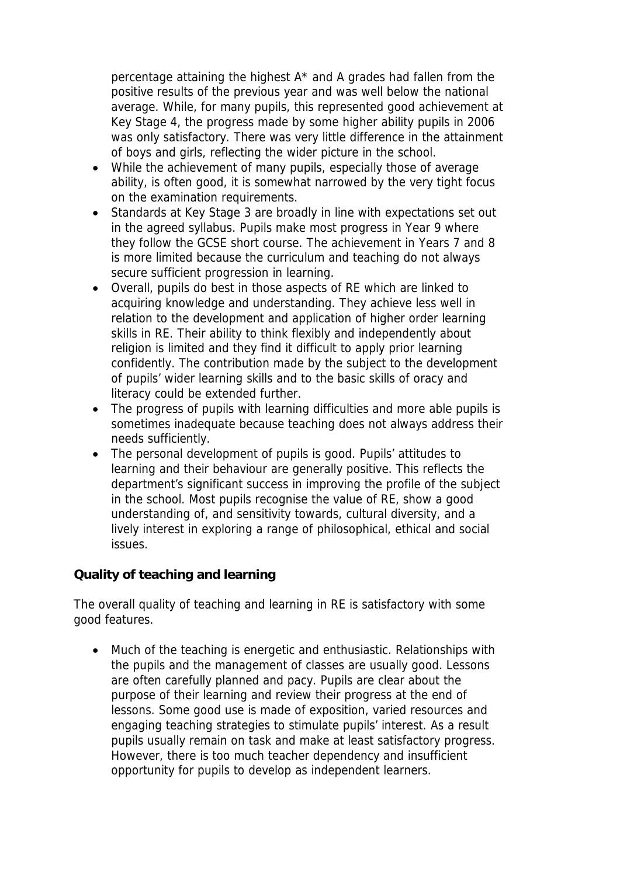percentage attaining the highest  $A^*$  and A grades had fallen from the positive results of the previous year and was well below the national average. While, for many pupils, this represented good achievement at Key Stage 4, the progress made by some higher ability pupils in 2006 was only satisfactory. There was very little difference in the attainment of boys and girls, reflecting the wider picture in the school.

- While the achievement of many pupils, especially those of average ability, is often good, it is somewhat narrowed by the very tight focus on the examination requirements.
- Standards at Key Stage 3 are broadly in line with expectations set out in the agreed syllabus. Pupils make most progress in Year 9 where they follow the GCSE short course. The achievement in Years 7 and 8 is more limited because the curriculum and teaching do not always secure sufficient progression in learning.
- Overall, pupils do best in those aspects of RE which are linked to acquiring knowledge and understanding. They achieve less well in relation to the development and application of higher order learning skills in RE. Their ability to think flexibly and independently about religion is limited and they find it difficult to apply prior learning confidently. The contribution made by the subject to the development of pupils' wider learning skills and to the basic skills of oracy and literacy could be extended further.
- The progress of pupils with learning difficulties and more able pupils is sometimes inadequate because teaching does not always address their needs sufficiently.
- The personal development of pupils is good. Pupils' attitudes to learning and their behaviour are generally positive. This reflects the department's significant success in improving the profile of the subject in the school. Most pupils recognise the value of RE, show a good understanding of, and sensitivity towards, cultural diversity, and a lively interest in exploring a range of philosophical, ethical and social issues.

## **Quality of teaching and learning**

The overall quality of teaching and learning in RE is satisfactory with some good features.

 Much of the teaching is energetic and enthusiastic. Relationships with the pupils and the management of classes are usually good. Lessons are often carefully planned and pacy. Pupils are clear about the purpose of their learning and review their progress at the end of lessons. Some good use is made of exposition, varied resources and engaging teaching strategies to stimulate pupils' interest. As a result pupils usually remain on task and make at least satisfactory progress. However, there is too much teacher dependency and insufficient opportunity for pupils to develop as independent learners.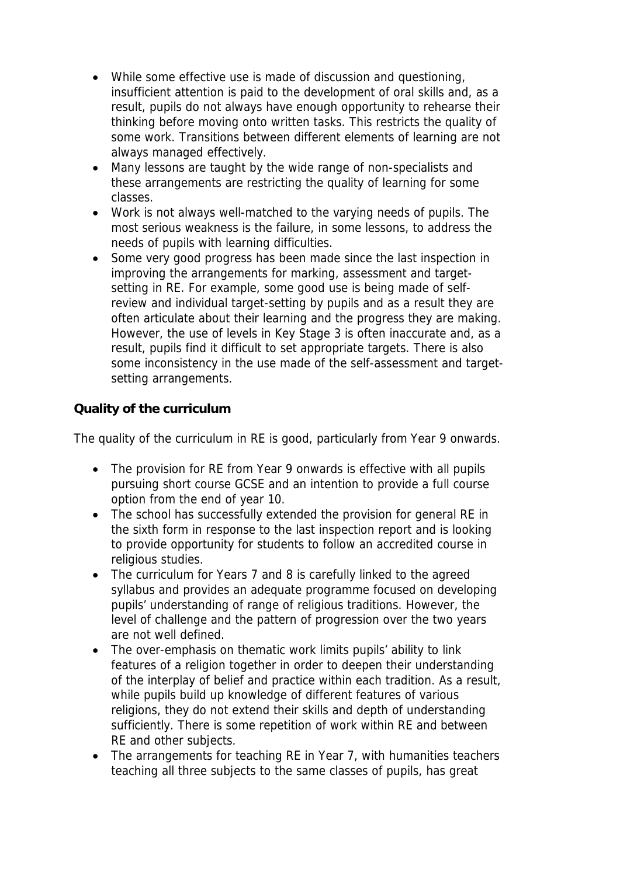- While some effective use is made of discussion and questioning, insufficient attention is paid to the development of oral skills and, as a result, pupils do not always have enough opportunity to rehearse their thinking before moving onto written tasks. This restricts the quality of some work. Transitions between different elements of learning are not always managed effectively.
- Many lessons are taught by the wide range of non-specialists and these arrangements are restricting the quality of learning for some classes.
- Work is not always well-matched to the varying needs of pupils. The most serious weakness is the failure, in some lessons, to address the needs of pupils with learning difficulties.
- Some very good progress has been made since the last inspection in improving the arrangements for marking, assessment and targetsetting in RE. For example, some good use is being made of selfreview and individual target-setting by pupils and as a result they are often articulate about their learning and the progress they are making. However, the use of levels in Key Stage 3 is often inaccurate and, as a result, pupils find it difficult to set appropriate targets. There is also some inconsistency in the use made of the self-assessment and targetsetting arrangements.

## **Quality of the curriculum**

The quality of the curriculum in RE is good, particularly from Year 9 onwards.

- The provision for RE from Year 9 onwards is effective with all pupils pursuing short course GCSE and an intention to provide a full course option from the end of year 10.
- The school has successfully extended the provision for general RE in the sixth form in response to the last inspection report and is looking to provide opportunity for students to follow an accredited course in religious studies.
- The curriculum for Years 7 and 8 is carefully linked to the agreed syllabus and provides an adequate programme focused on developing pupils' understanding of range of religious traditions. However, the level of challenge and the pattern of progression over the two years are not well defined.
- The over-emphasis on thematic work limits pupils' ability to link features of a religion together in order to deepen their understanding of the interplay of belief and practice within each tradition. As a result, while pupils build up knowledge of different features of various religions, they do not extend their skills and depth of understanding sufficiently. There is some repetition of work within RE and between RE and other subjects.
- The arrangements for teaching RE in Year 7, with humanities teachers teaching all three subjects to the same classes of pupils, has great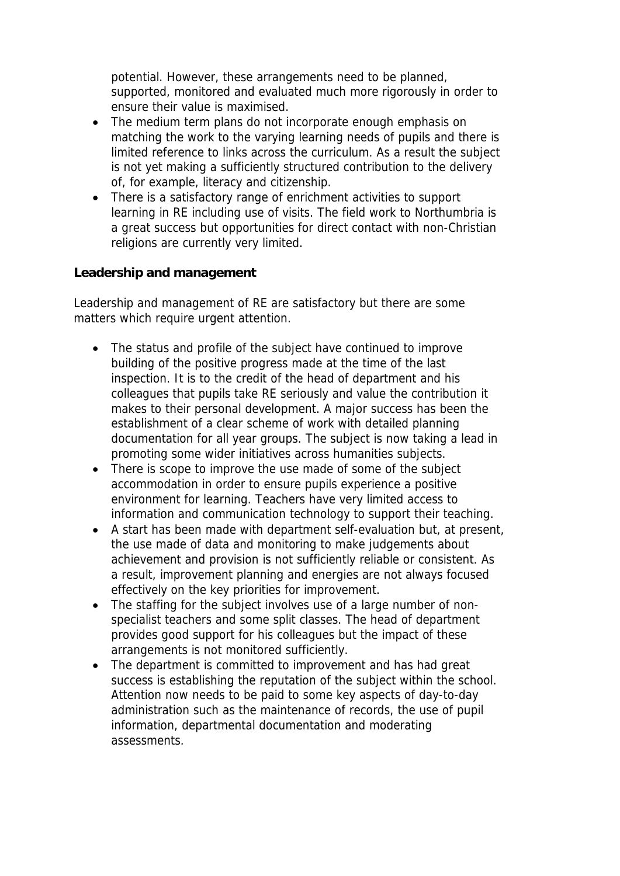potential. However, these arrangements need to be planned, supported, monitored and evaluated much more rigorously in order to ensure their value is maximised.

- The medium term plans do not incorporate enough emphasis on matching the work to the varying learning needs of pupils and there is limited reference to links across the curriculum. As a result the subject is not yet making a sufficiently structured contribution to the delivery of, for example, literacy and citizenship.
- There is a satisfactory range of enrichment activities to support learning in RE including use of visits. The field work to Northumbria is a great success but opportunities for direct contact with non-Christian religions are currently very limited.

**Leadership and management**

Leadership and management of RE are satisfactory but there are some matters which require urgent attention.

- The status and profile of the subject have continued to improve building of the positive progress made at the time of the last inspection. It is to the credit of the head of department and his colleagues that pupils take RE seriously and value the contribution it makes to their personal development. A major success has been the establishment of a clear scheme of work with detailed planning documentation for all year groups. The subject is now taking a lead in promoting some wider initiatives across humanities subjects.
- There is scope to improve the use made of some of the subject accommodation in order to ensure pupils experience a positive environment for learning. Teachers have very limited access to information and communication technology to support their teaching.
- A start has been made with department self-evaluation but, at present, the use made of data and monitoring to make judgements about achievement and provision is not sufficiently reliable or consistent. As a result, improvement planning and energies are not always focused effectively on the key priorities for improvement.
- The staffing for the subject involves use of a large number of nonspecialist teachers and some split classes. The head of department provides good support for his colleagues but the impact of these arrangements is not monitored sufficiently.
- The department is committed to improvement and has had great success is establishing the reputation of the subject within the school. Attention now needs to be paid to some key aspects of day-to-day administration such as the maintenance of records, the use of pupil information, departmental documentation and moderating assessments.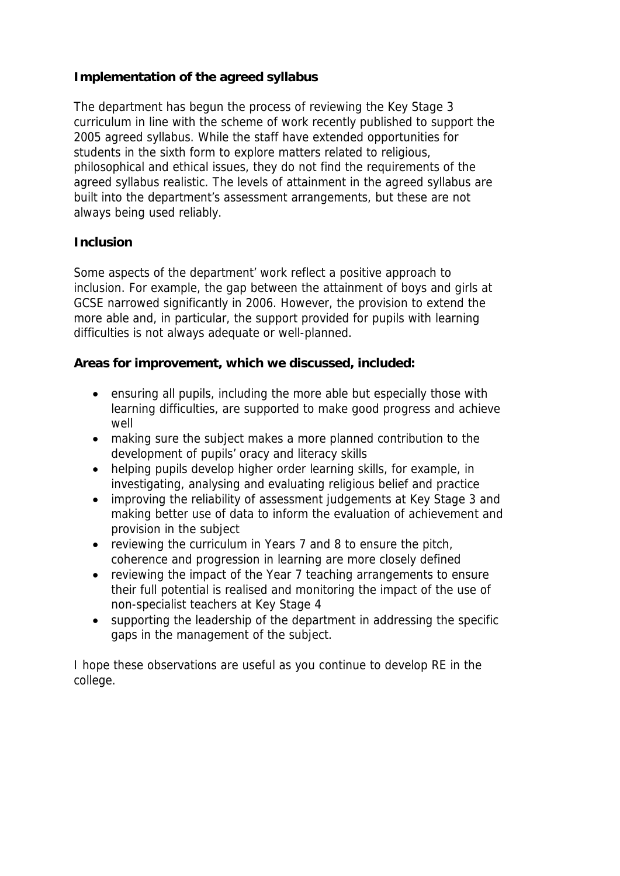## **Implementation of the agreed syllabus**

The department has begun the process of reviewing the Key Stage 3 curriculum in line with the scheme of work recently published to support the 2005 agreed syllabus. While the staff have extended opportunities for students in the sixth form to explore matters related to religious, philosophical and ethical issues, they do not find the requirements of the agreed syllabus realistic. The levels of attainment in the agreed syllabus are built into the department's assessment arrangements, but these are not always being used reliably.

## **Inclusion**

Some aspects of the department' work reflect a positive approach to inclusion. For example, the gap between the attainment of boys and girls at GCSE narrowed significantly in 2006. However, the provision to extend the more able and, in particular, the support provided for pupils with learning difficulties is not always adequate or well-planned.

**Areas for improvement, which we discussed, included:** 

- ensuring all pupils, including the more able but especially those with learning difficulties, are supported to make good progress and achieve well
- making sure the subject makes a more planned contribution to the development of pupils' oracy and literacy skills
- helping pupils develop higher order learning skills, for example, in investigating, analysing and evaluating religious belief and practice
- improving the reliability of assessment judgements at Key Stage 3 and making better use of data to inform the evaluation of achievement and provision in the subject
- reviewing the curriculum in Years 7 and 8 to ensure the pitch, coherence and progression in learning are more closely defined
- reviewing the impact of the Year 7 teaching arrangements to ensure their full potential is realised and monitoring the impact of the use of non-specialist teachers at Key Stage 4
- supporting the leadership of the department in addressing the specific gaps in the management of the subject.

I hope these observations are useful as you continue to develop RE in the college.